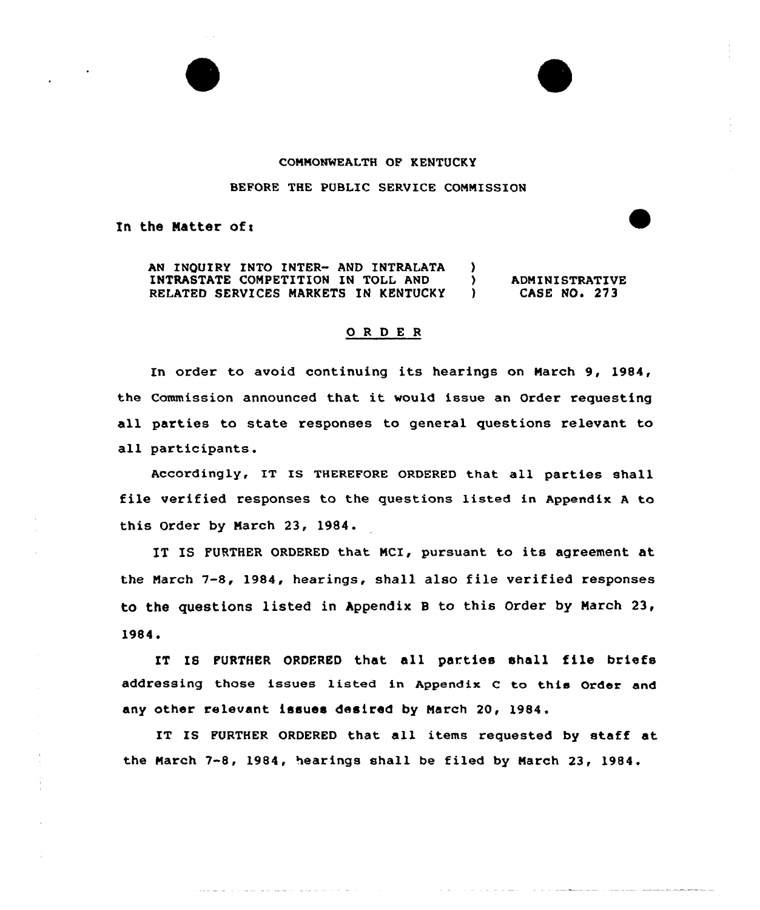#### COMMONWEALTH OF KENTUCKY

#### BEFORE THE PUBLIC SERVICE COMMISSION

In the Matter of:

AN INQUIRY INTO INTER- AND INTRALATA INTRASTATE COMPETITION IN TOLL AND RELATED SERVICES MARKETS IN KENTUCKY  $\frac{1}{2}$ ) ADMINISTRATIVE<br>
) CASE NO. 273 CASE NO. 273

## 0 <sup>R</sup> <sup>D</sup> <sup>E</sup> <sup>R</sup>

In order to avoid continuing its hearings on March 9, 1984, the Commission announced that it would issue an Order requesting all parties to state responses to general questions relevant to all participants.

Accordingly, IT IS THEREFORE ORDERED that all parties shall file verified responses to the questions listed in Appendix <sup>A</sup> to this Order by March 23, 1984.

IT IS FURTHER ORDERED that MCI, pursuant to its agreement at the March 7-8, 1984, hearings, shall also file verified responses to the questions listed in Appendix <sup>B</sup> to this Order by March 23, 1984.

IT IS PURTHER ORDERED that all parties shall file briefs addressing those issues listed in Appendix C to this Order and any other relevant issues desired by March 20, 1984.

IT IS FURTHER ORDERED that all items requested by staff at the March 7-8, 1984, hearings shall be filed by March 23, 1984.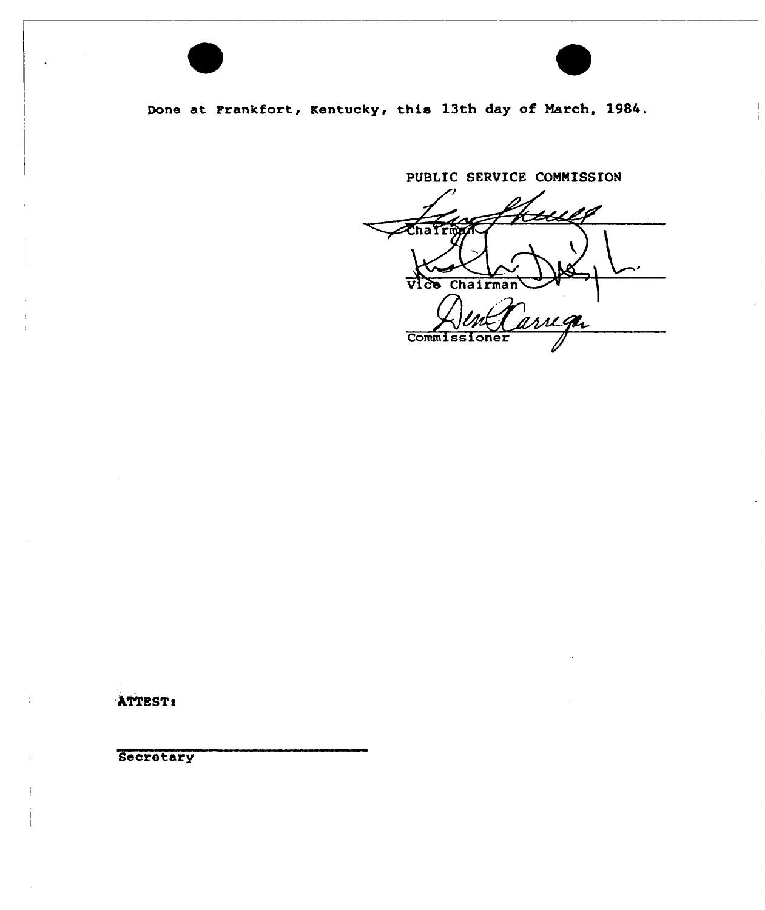Done at Frankfort, Kentucky, this 13th day of March, 1984.

PUBLIC SERVICE CONNISSION  $\chi_{\textrm{haf}}$ Vice Chairman reger **Commissioner** 

ATTEST <sup>s</sup>

**Secretary**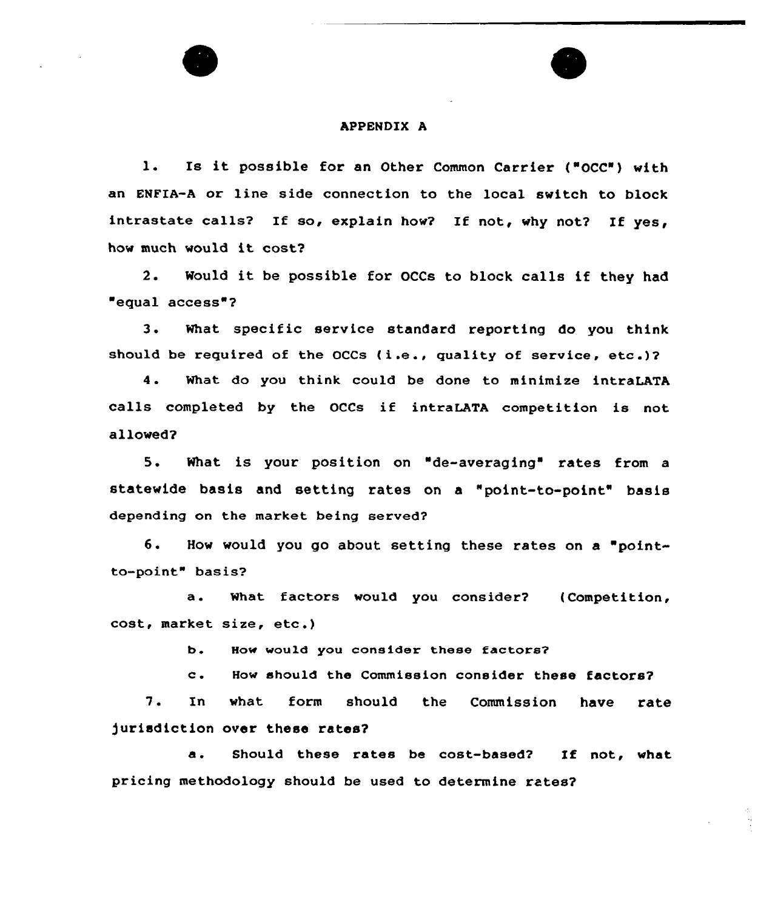#### APPENDIX A

l. Is it possible for an Other Common Carrier ("OCC') with an ENFIA-A or line side connection to the local switch to block intrastate calls? If so, explain how? If not, why not? If yes, how much would it cost?

2. Would it be possible for OCCs to block calls if they had equal access"?

3. What specific service standard reporting do you think should be required of the OCCs  $(i.e.,$  quality of service, etc.)?

4. What do you think could be done to minimize intraLATA calls completed by the OCCs if intraLATA competition is not allowed?

5. What is your position on "de-averaging" rates from <sup>a</sup> statewide basis and setting rates on a "point-to-point" basis depending on the market being served?

6. How would you go about setting these rates on a "pointto-point" basis'?

a. what factors would you consider? (Competition, cost, market size, etc .)

b. How would you consider these factors?

c. How should the Commission consider these factors?

7. In what form should the Commission h<mark>ave rat</mark>e jurisdiction over these rates?

a. Should these rates be cost-based? If not, what pricing methodology should be used to determine rates?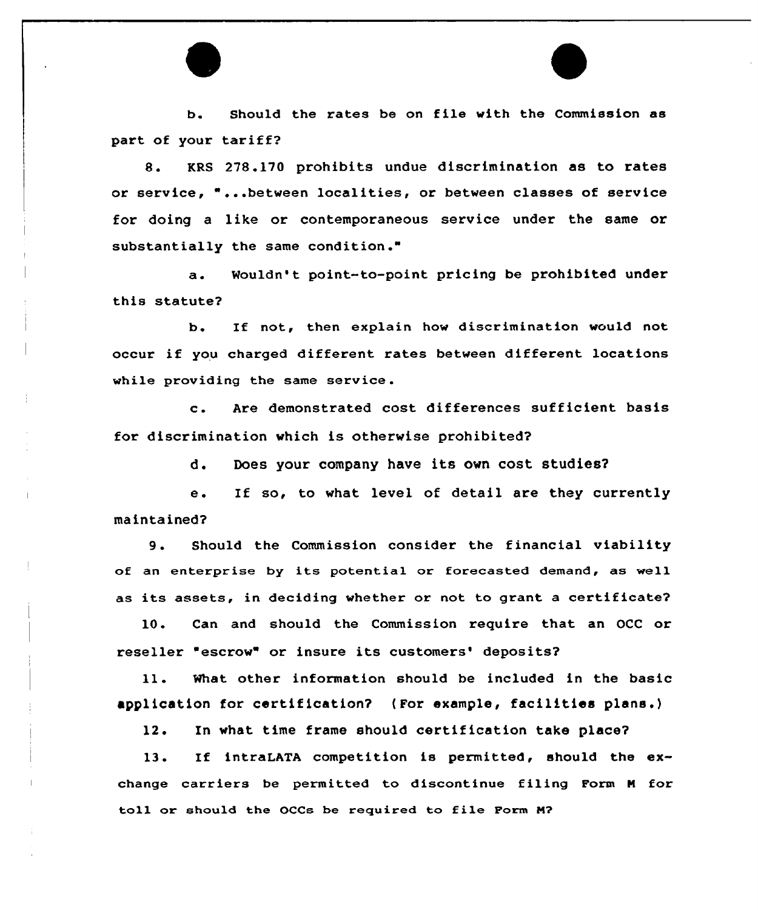b. Should the xates be on file with the Commission as part of your tariff?

8. KRS 278.170 prohibits undue discrimination as to rates or service, " ...between localities, or between classes of service for doing a like or contemporaneous sexvice under the same or substantially the same condition."

a. Mouldn't point-to-point pricing be prohibited under this statute?

b. If not, then explain how discrimination would not occur if you charged different rates between different locations while providing the same service .

<sup>c</sup> . Axe demonstrated cost differences sufficient basis for discrimination which is otherwise prohibited'

d. Does your company have its own cost studies?

e. If so, to what level of detail are they currently maintained?

9. Should the Commission consider the financial viability of an enterprise by its potential or forecasted demand, as well as its assets, in deciding whether or not to grant a certificate?

10. Can and should the Commission require that an OCC or reseller "escrow" or insure its customers' deposits?

ll. What other information should be included in the basic application for certification? ( For example, facilities plans.)

12. In what time frame should certification take place?

13. If intraLATA competition is permitted, should the exchange carriers be permitted to discontinue filing Form <sup>N</sup> for toll or should the OCCs be required to file Form M?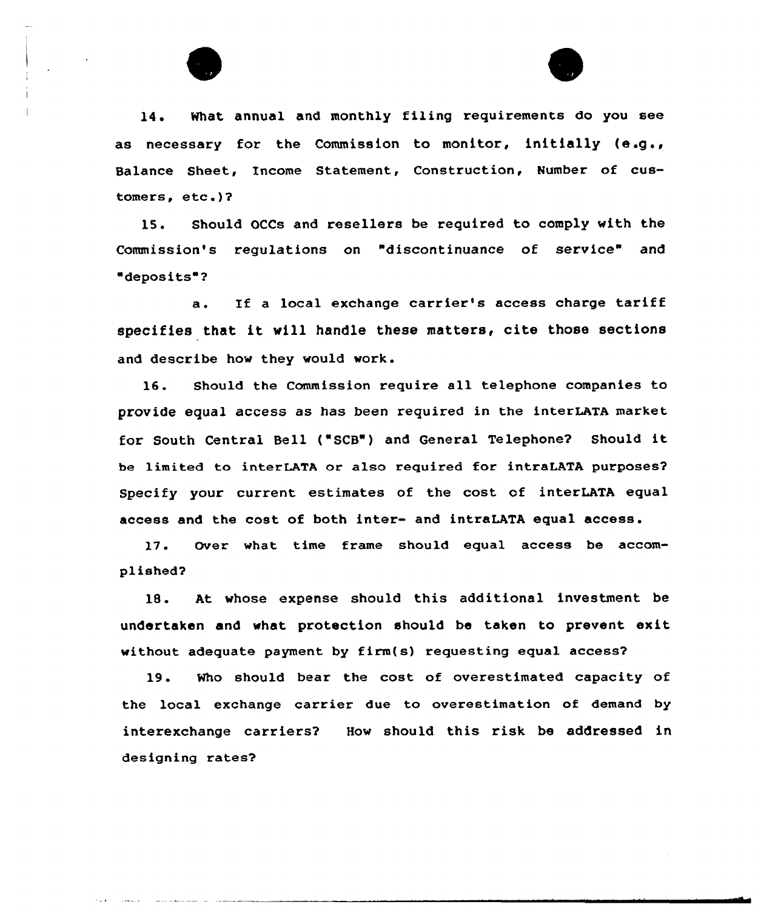



14. What annual and monthly filing requirements do you see as necessary for the Commission to monitor, initially (e.g., Balance Sheet, Income Statement, Construction, Number of customers, etc.)?

15. Should OCCs and resellers be required to comply with the Commission's regulations on "discontinuance of service" and deposits"?

a. If a local exchange carrier's access charge tariff specifies that it will handle these matters, cite those sections and describe how they would work.

16. Should the Commission require all telephone companies to provide equal access as has been required in the interLATA market for South Central Bell ('SCB") and General Telephone? Should it be limited to interLATA or also required for intraLATA purposes? Specify your current estimates of the cost of interLATA equal access and the cost of both inter- and intraLATA equal access.

17. Over what time frame should equal access be accomplished?

1S. At whose expense should this additional investment be undertaken and what protection should be taken to prevent exit without adequate payment by firm(s) requesting equal access?

19. Who should bear the cost of overestimated capacity of the local exchange carrier due to overestimation of demand by interexchange carriers? How should this risk be addressed in designing rates?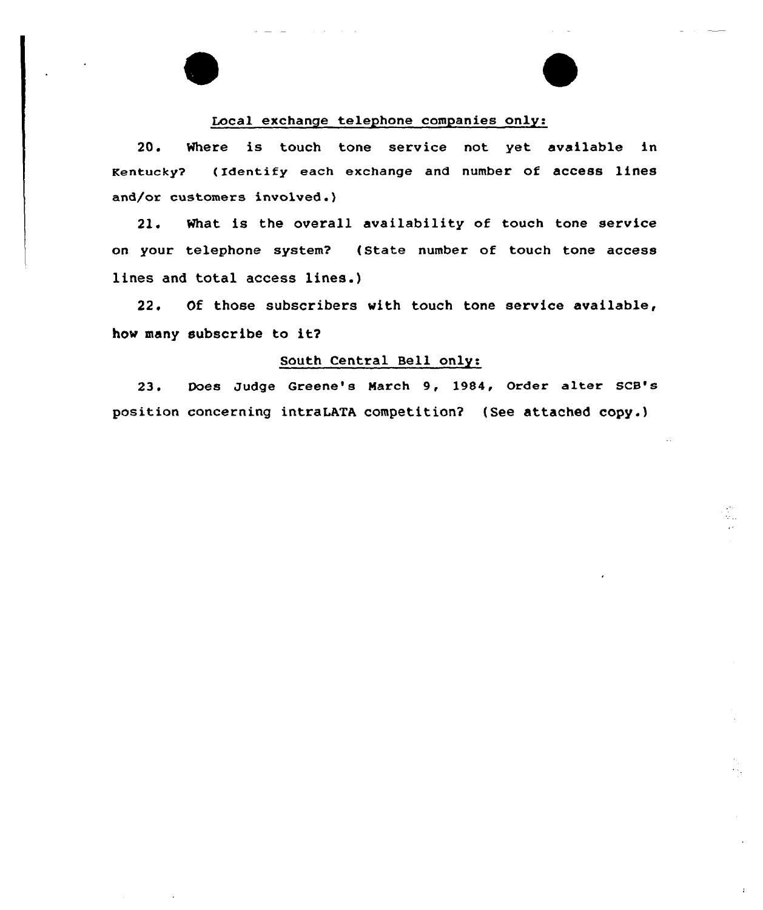## Local exchange telephone companies only:

20. Where is touch tone service not yet available in Kentucky? (Identify each exchange and number of access lines and/or customers involved.)

21. What is the overall availability of touch tone service on your telephone system? (State number of touch tone access lines and total access lines.)

22. Of those subscribers with touch tone service available, how many subscribe to it?

# South Central Bell only:

23. Does Judge Greene's March 9, 1984, Order alter SCB's position concerning intraLATA competition2 (See attached copy.)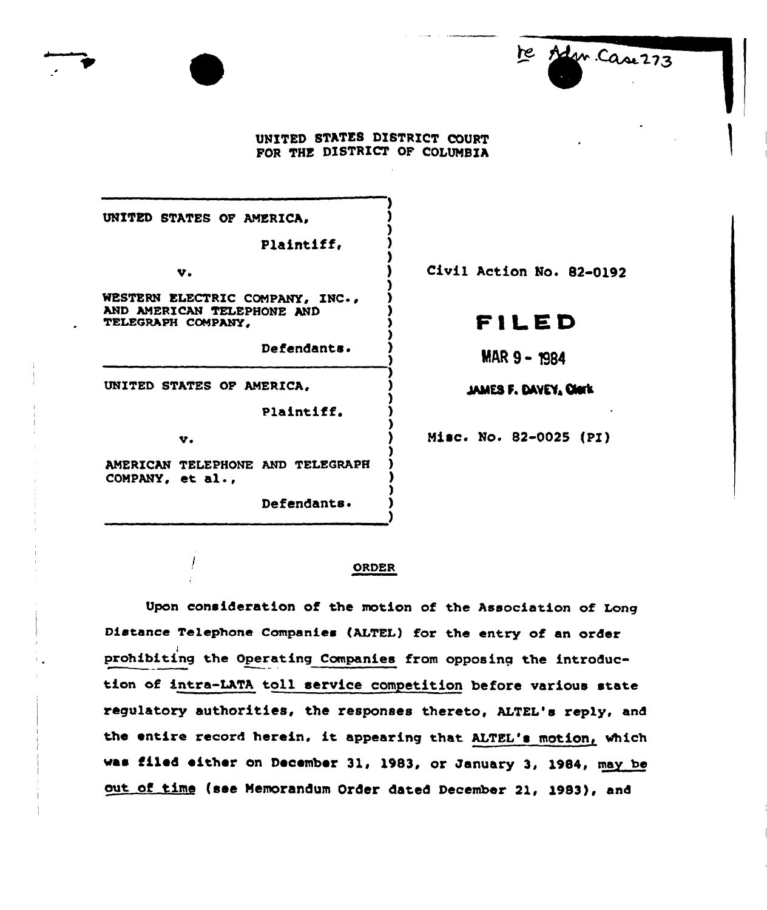#### UNITED STATES DISTRICT COURT FOR THE DISTRICT OF COLUMBIA

)

) ) )

) ) ) ) ) )

UNITED STATES OF AMERICA,

Plaintiff.

WESTERN ELECTRIC COMPANY, INC., AND AMERICAN TELEPHONE AND TELEGRAPH COMPANY,

Defendants. )

UNITED STATES OF AMERICA.

Plaintiff.

v.

AMERICAN TELEPHONE AND TELEGRAPH COMPANY, et al.,

Defendants.

v. (a) Civil Action No. 82-0192

te Adm Case 273

# ~ii ED

 $MAR 9 - 1984$ 

JAMES F. DAVEY, CHIEK

) Misc. No. 82-0025 (PI)

#### ORDER

Upon consideration of the motion of the Association of Long Distance Telephone Companies (ALTEL) for the entry of an order prohibiting the Operating Companies from opposing the introduction of intra-LATA toll service competition before various state regulatory authorities, the responses thereto, ALTEL's reply, and the entire record herein, it appearing that ALTEL's motion, which vas filed either on December 31, 1983, or January 3, 1084, may be out of time (see Memorandum Order dated December 21, 1983), and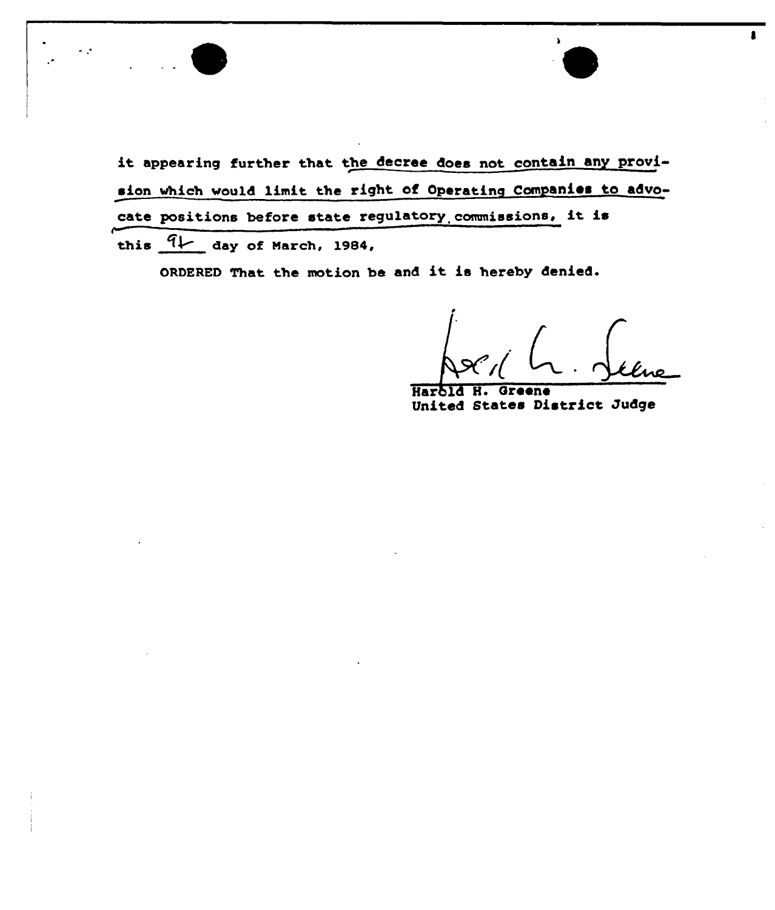

it appearing further that the decree does not contain any provision which would limit the right of Operating Companies to advocate positions before state regulatory. commissions, it is this  $4L$  day of March, 1984,

ORDERED That the motion be and it is hereby denied.

 $\blacksquare$ 

Harbld H. Greene United States District Judge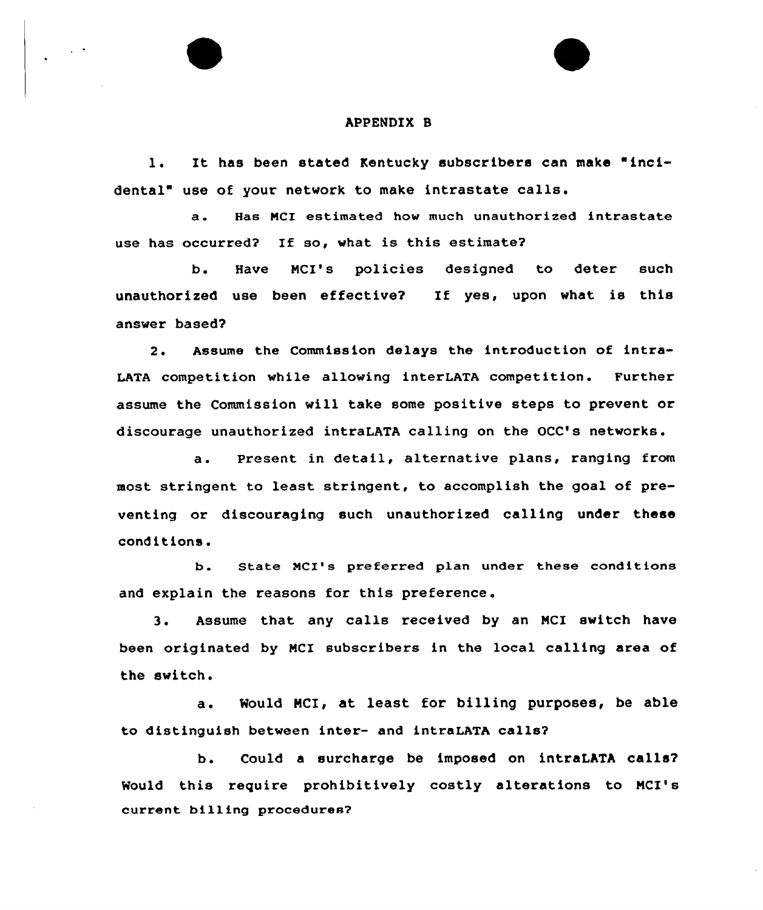#### APPENDIX B

l. It has been stated Kentucky subscribers can make "incidental" use of your network to make intrastate calls.

a. Has NCI estimated how much unauthorized intrastate use has occurred? If so, what is this estimate?

b. Have MCI's policies designed to deter such unauthorized use been effective? If yes, upon what is this answer based?

2. Assume the Commission delays the introduction of intra-LATA competition while allowing interLATA competition. Further assume the Commission will take some positive steps to prevent or discourage unauthorized intraLATA calling on the OCC's networks.

a. Present in detail, alternative plans, ranging from most stringent to least stringent, to accomplish the goal of preventing or discouraging such unauthorized calling under these conditions.

b. State MCI's preferred plan under these conditions and explain the reasons for this preference.

3. Assume that any calls received by an MCI switch have been originated by MCI subscribers in the local calling area of the switch.

a. Mould MCI, at least for billing purposes, be able to distinguish between inter- and intraLATA calls?

b. Could a surcharge be imposed on intraLATA calls? Would this require prohibitively costly alterations to MCI's current billing procedures?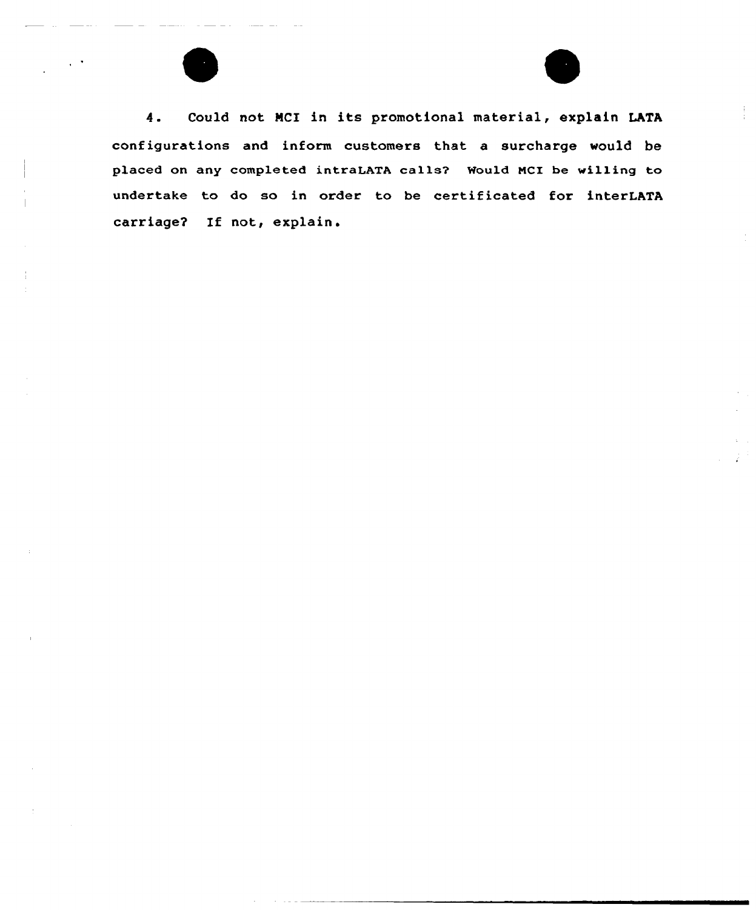

4. Could not NCI in its promotional material, explain LATA configurations and inform customers that a surcharge would be placed on any completed intraLATA calls? Mould NCI be willing to undertake to do so in order to be certificated for interLATA carriage? If not, explain.